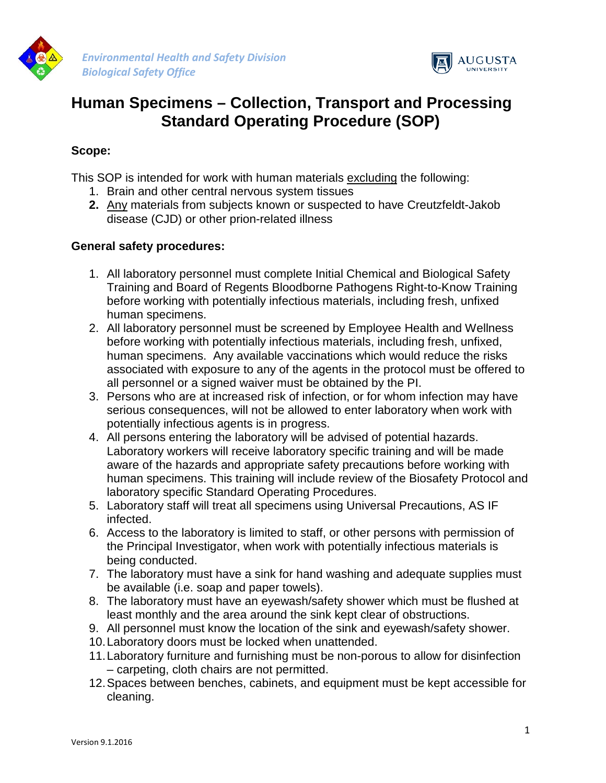

*Environmental Health and Safety Division Biological Safety Office*



# **Human Specimens – Collection, Transport and Processing Standard Operating Procedure (SOP)**

#### **Scope:**

This SOP is intended for work with human materials excluding the following:

- 1. Brain and other central nervous system tissues
- **2.** Any materials from subjects known or suspected to have Creutzfeldt-Jakob disease (CJD) or other prion-related illness

## **General safety procedures:**

- 1. All laboratory personnel must complete Initial Chemical and Biological Safety Training and Board of Regents Bloodborne Pathogens Right-to-Know Training before working with potentially infectious materials, including fresh, unfixed human specimens.
- 2. All laboratory personnel must be screened by Employee Health and Wellness before working with potentially infectious materials, including fresh, unfixed, human specimens. Any available vaccinations which would reduce the risks associated with exposure to any of the agents in the protocol must be offered to all personnel or a signed waiver must be obtained by the PI.
- 3. Persons who are at increased risk of infection, or for whom infection may have serious consequences, will not be allowed to enter laboratory when work with potentially infectious agents is in progress.
- 4. All persons entering the laboratory will be advised of potential hazards. Laboratory workers will receive laboratory specific training and will be made aware of the hazards and appropriate safety precautions before working with human specimens. This training will include review of the Biosafety Protocol and laboratory specific Standard Operating Procedures.
- 5. Laboratory staff will treat all specimens using Universal Precautions, AS IF infected.
- 6. Access to the laboratory is limited to staff, or other persons with permission of the Principal Investigator, when work with potentially infectious materials is being conducted.
- 7. The laboratory must have a sink for hand washing and adequate supplies must be available (i.e. soap and paper towels).
- 8. The laboratory must have an eyewash/safety shower which must be flushed at least monthly and the area around the sink kept clear of obstructions.
- 9. All personnel must know the location of the sink and eyewash/safety shower.
- 10.Laboratory doors must be locked when unattended.
- 11.Laboratory furniture and furnishing must be non-porous to allow for disinfection – carpeting, cloth chairs are not permitted.
- 12.Spaces between benches, cabinets, and equipment must be kept accessible for cleaning.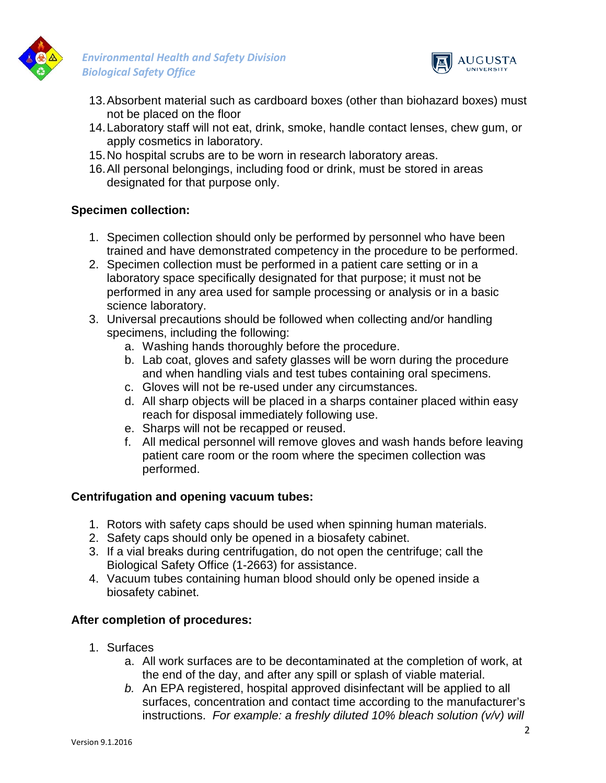

*Environmental Health and Safety Division Biological Safety Office*



- 13.Absorbent material such as cardboard boxes (other than biohazard boxes) must not be placed on the floor
- 14.Laboratory staff will not eat, drink, smoke, handle contact lenses, chew gum, or apply cosmetics in laboratory.
- 15.No hospital scrubs are to be worn in research laboratory areas.
- 16.All personal belongings, including food or drink, must be stored in areas designated for that purpose only.

#### **Specimen collection:**

- 1. Specimen collection should only be performed by personnel who have been trained and have demonstrated competency in the procedure to be performed.
- 2. Specimen collection must be performed in a patient care setting or in a laboratory space specifically designated for that purpose; it must not be performed in any area used for sample processing or analysis or in a basic science laboratory.
- 3. Universal precautions should be followed when collecting and/or handling specimens, including the following:
	- a. Washing hands thoroughly before the procedure.
	- b. Lab coat, gloves and safety glasses will be worn during the procedure and when handling vials and test tubes containing oral specimens.
	- c. Gloves will not be re-used under any circumstances.
	- d. All sharp objects will be placed in a sharps container placed within easy reach for disposal immediately following use.
	- e. Sharps will not be recapped or reused.
	- f. All medical personnel will remove gloves and wash hands before leaving patient care room or the room where the specimen collection was performed.

## **Centrifugation and opening vacuum tubes:**

- 1. Rotors with safety caps should be used when spinning human materials.
- 2. Safety caps should only be opened in a biosafety cabinet.
- 3. If a vial breaks during centrifugation, do not open the centrifuge; call the Biological Safety Office (1-2663) for assistance.
- 4. Vacuum tubes containing human blood should only be opened inside a biosafety cabinet.

## **After completion of procedures:**

- 1. Surfaces
	- a. All work surfaces are to be decontaminated at the completion of work, at the end of the day, and after any spill or splash of viable material.
	- *b.* An EPA registered, hospital approved disinfectant will be applied to all surfaces, concentration and contact time according to the manufacturer's instructions. *For example: a freshly diluted 10% bleach solution (v/v) will*